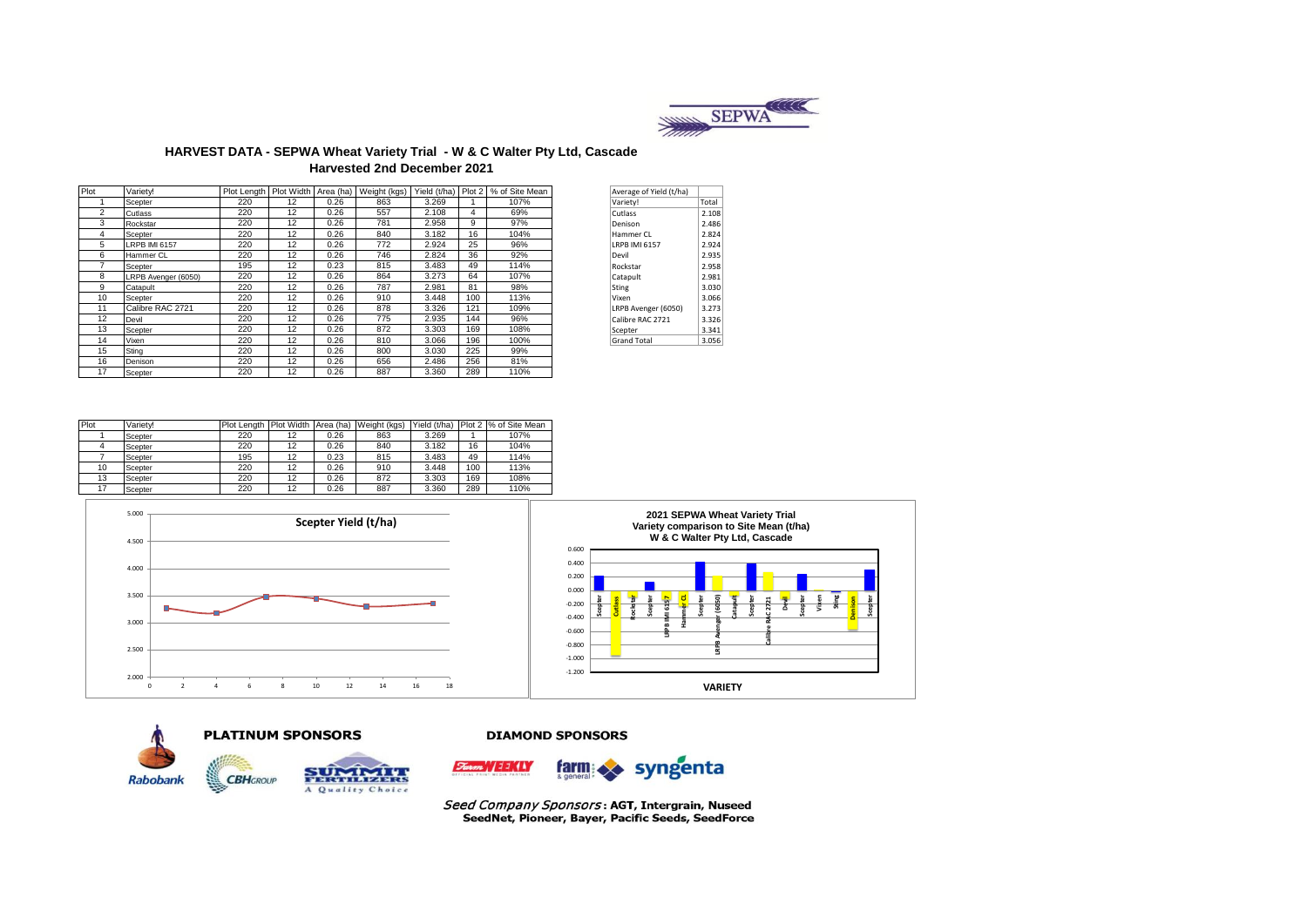

### **HARVEST DATA - SEPWA Wheat Variety Trial - W & C Walter Pty Ltd, Cascade Harvested 2nd December 2021**

| Plot           | Varietv!             |     |    |      |     |       |     | Plot Length   Plot Width   Area (ha)   Weight (kgs)   Yield (t/ha)   Plot 2   % of Site Mean | Average of Yield (t/ha) |       |
|----------------|----------------------|-----|----|------|-----|-------|-----|----------------------------------------------------------------------------------------------|-------------------------|-------|
|                | Scepter              | 220 | 12 | 0.26 | 863 | 3.269 |     | 107%                                                                                         | Variety!                | Total |
| $\overline{2}$ | Cutlass              | 220 | 12 | 0.26 | 557 | 2.108 | 4   | 69%                                                                                          | Cutlass                 | 2.108 |
| 3              | Rockstar             | 220 | 12 | 0.26 | 781 | 2.958 | 9   | 97%                                                                                          | Denison                 | 2.486 |
| 4              | Scepter              | 220 | 12 | 0.26 | 840 | 3.182 | 16  | 104%                                                                                         | Hammer CL               | 2.824 |
| 5              | <b>LRPB IMI 6157</b> | 220 | 12 | 0.26 | 772 | 2.924 | 25  | 96%                                                                                          | <b>LRPB IMI 6157</b>    | 2.924 |
| 6              | Hammer CL            | 220 | 12 | 0.26 | 746 | 2.824 | 36  | 92%                                                                                          | Devil                   | 2.935 |
|                | Scepter              | 195 | 12 | 0.23 | 815 | 3.483 | 49  | 114%                                                                                         | Rockstar                | 2.958 |
| 8              | LRPB Avenger (6050)  | 220 | 12 | 0.26 | 864 | 3.273 | 64  | 107%                                                                                         | Catapult                | 2.981 |
| 9              | Catapult             | 220 | 12 | 0.26 | 787 | 2.981 | 81  | 98%                                                                                          | <b>Sting</b>            | 3.030 |
| 10             | Scepter              | 220 | 12 | 0.26 | 910 | 3.448 | 100 | 113%                                                                                         | Vixen                   | 3.066 |
| 11             | Calibre RAC 2721     | 220 | 12 | 0.26 | 878 | 3.326 | 121 | 109%                                                                                         | LRPB Avenger (6050)     | 3.273 |
| 12             | Devil                | 220 | 12 | 0.26 | 775 | 2.935 | 144 | 96%                                                                                          | Calibre RAC 2721        | 3.326 |
| 13             | Scepter              | 220 | 12 | 0.26 | 872 | 3.303 | 169 | 108%                                                                                         | Scepter                 | 3.341 |
| 14             | Vixen                | 220 | 12 | 0.26 | 810 | 3.066 | 196 | 100%                                                                                         | <b>Grand Total</b>      | 3.056 |
| 15             | Sting                | 220 | 12 | 0.26 | 800 | 3.030 | 225 | 99%                                                                                          |                         |       |
| 16             | Denison              | 220 | 12 | 0.26 | 656 | 2.486 | 256 | 81%                                                                                          |                         |       |
| 17             | Scepter              | 220 | 12 | 0.26 | 887 | 3.360 | 289 | 110%                                                                                         |                         |       |

| Variety!<br>Total<br>Cutlass<br>Denison<br>Hammer CI<br><b>IRPB IMI 6157</b><br>Devil<br>Rockstar<br>Catapult<br><b>Sting</b><br>Vixen<br>LRPB Avenger (6050)<br>Calibre RAC 2721<br>Scepter<br><b>Grand Total</b> | Average of Yield (t/ha) |       |
|--------------------------------------------------------------------------------------------------------------------------------------------------------------------------------------------------------------------|-------------------------|-------|
|                                                                                                                                                                                                                    |                         |       |
|                                                                                                                                                                                                                    |                         | 2.108 |
|                                                                                                                                                                                                                    |                         | 2.486 |
|                                                                                                                                                                                                                    |                         | 2.824 |
|                                                                                                                                                                                                                    |                         | 2.924 |
|                                                                                                                                                                                                                    |                         | 2.935 |
|                                                                                                                                                                                                                    |                         | 2.958 |
|                                                                                                                                                                                                                    |                         | 2.981 |
|                                                                                                                                                                                                                    |                         | 3.030 |
|                                                                                                                                                                                                                    |                         | 3.066 |
|                                                                                                                                                                                                                    |                         | 3.273 |
|                                                                                                                                                                                                                    |                         | 3.326 |
|                                                                                                                                                                                                                    |                         | 3.341 |
|                                                                                                                                                                                                                    |                         | 3.056 |

| Plot | Variety! | Plot Length | <b>Plot Width</b> | Area (ha) | Weight (kgs) | Yield (t/ha) |     | Plot 2 % of Site Mean |
|------|----------|-------------|-------------------|-----------|--------------|--------------|-----|-----------------------|
|      | Scepter  | 220         | 12                | 0.26      | 863          | 3.269        |     | 107%                  |
|      | Scepter  | 220         | 12                | 0.26      | 840          | 3.182        | 16  | 104%                  |
|      | Scepter  | 195         | 12                | 0.23      | 815          | 3.483        | 49  | 114%                  |
| 10   | Scepter  | 220         | 12                | 0.26      | 910          | 3.448        | 100 | 113%                  |
| 13   | Scepter  | 220         | 12                | 0.26      | 872          | 3.303        | 169 | 108%                  |
|      | Scepter  | 220         | 12                | 0.26      | 887          | 3.360        | 289 | 110%                  |









A Quality Choice

**CBH**GROUP

#### **DIAMOND SPONSORS**



Seed Company Sponsors: AGT, Intergrain, Nuseed SeedNet, Pioneer, Bayer, Pacific Seeds, SeedForce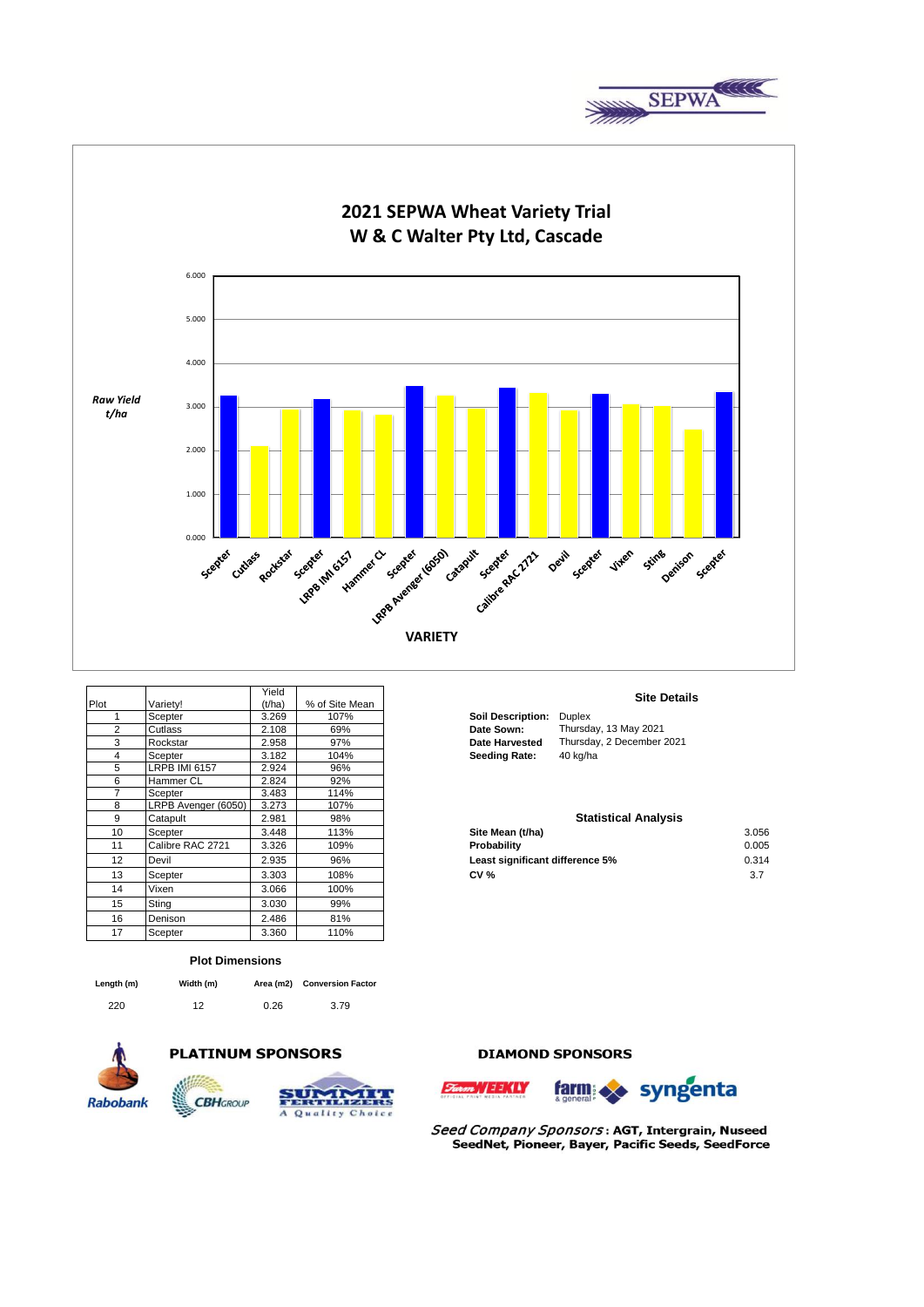



|      |                      | Yield  |                |                                 | <b>Site Details</b>         |       |
|------|----------------------|--------|----------------|---------------------------------|-----------------------------|-------|
| Plot | Variety!             | (t/ha) | % of Site Mean |                                 |                             |       |
|      | Scepter              | 3.269  | 107%           | <b>Soil Description:</b>        | <b>Duplex</b>               |       |
| 2    | Cutlass              | 2.108  | 69%            | Date Sown:                      | Thursday, 13 May 2021       |       |
| 3    | Rockstar             | 2.958  | 97%            | <b>Date Harvested</b>           | Thursday, 2 December 2021   |       |
| 4    | Scepter              | 3.182  | 104%           | <b>Seeding Rate:</b>            | 40 kg/ha                    |       |
| 5    | <b>LRPB IMI 6157</b> | 2.924  | 96%            |                                 |                             |       |
| 6    | <b>Hammer CL</b>     | 2.824  | 92%            |                                 |                             |       |
| 7    | Scepter              | 3.483  | 114%           |                                 |                             |       |
| 8    | LRPB Avenger (6050)  | 3.273  | 107%           |                                 |                             |       |
| 9    | Catapult             | 2.981  | 98%            |                                 | <b>Statistical Analysis</b> |       |
| 10   | Scepter              | 3.448  | 113%           | Site Mean (t/ha)                |                             | 3.056 |
| 11   | Calibre RAC 2721     | 3.326  | 109%           | Probability                     |                             | 0.005 |
| 12   | Devil                | 2.935  | 96%            | Least significant difference 5% |                             | 0.314 |
| 13   | Scepter              | 3.303  | 108%           | <b>CV %</b>                     |                             | 3.7   |
| 14   | Vixen                | 3.066  | 100%           |                                 |                             |       |
| 15   | Sting                | 3.030  | 99%            |                                 |                             |       |
| 16   | Denison              | 2.486  | 81%            |                                 |                             |       |
| 17   | Scepter              | 3.360  | 110%           |                                 |                             |       |

#### **Plot Dimensions**

| Length (m) | Width (m) |      | Area (m2) Conversion Factor |
|------------|-----------|------|-----------------------------|
| 220        | 12        | 0.26 | 3.79                        |







Quality Choice

 $\overline{A}$ 

## **DIAMOND SPONSORS**





Seed Company Sponsors: AGT, Intergrain, Nuseed SeedNet, Pioneer, Bayer, Pacific Seeds, SeedForce

#### **Site Details**

| oil Description: | Duplex                    |
|------------------|---------------------------|
| ate Sown:        | Thursday, 13 May 2021     |
| ate Harvested    | Thursday, 2 December 2021 |
| eeding Rate:     | 40 kg/ha                  |

# **10 Site Mean (t/ha)** 3.056<br>**Probability** 3.056 **Least significant difference 5% 12.936 12.935 96% 12.935 96% 12.935 96% 12.935 96% 12.935 96% 12.935 12.936 12.936 12.936 12.936 12.936 12.936 12.936 12.936 12.936 12.936 12.936 12.936 12.936 12.936 12.936 12.936 12.936 1 Statistical Analysis**